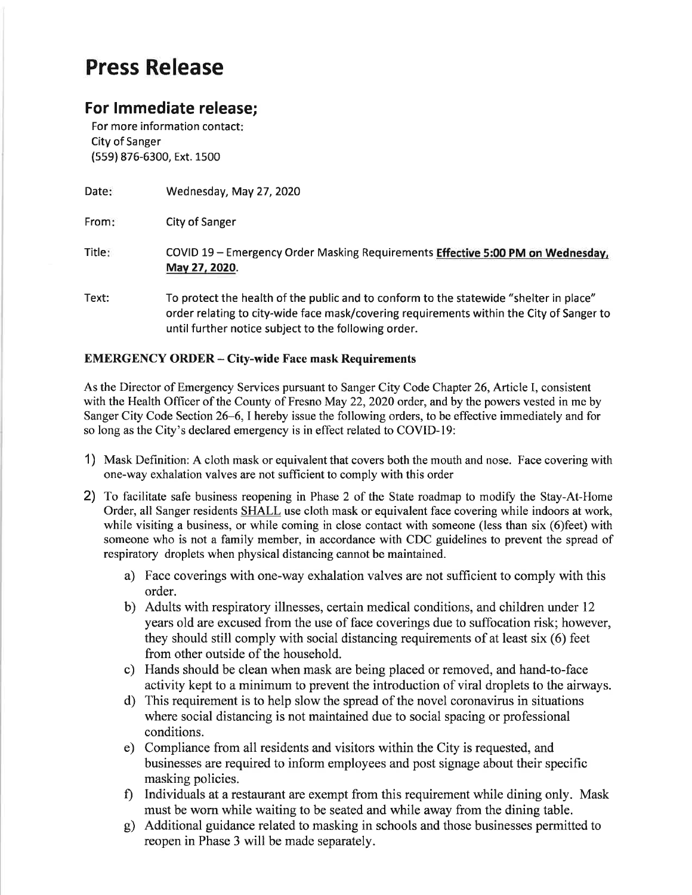## Press Release

## For lmmediate release;

For more information contact: City of Sanger (559) 876-6300, Ext. 1500

Date: Wednesday, May 27,2O2O

From City of Sanger

Title: COVID L9 - Emergency Order Masking Requirements Effective 5:00 PM on Wednesdav, Mav 27,2020.

Text: To protect the health of the public and to conform to the statewide "shelter in place" order relating to city-wide face mask/covering requirements within the City of Sanger to until further notice subject to the following order.

## EMERGENCY ORDER - City-wide Face mask Requirements

As the Director of Emergency Services pursuant to Sanger City Code Chapter 26, Article I, consistent with the Health Officer of the County of Fresno May 22, 2020 order, and by the powers vested in me by Sanger City Code Section 26-6, I hereby issue the following orders, to be effective immediately and for so long as the City's declared emergency is in effect related to COVID-19:

- 1) Mask Definition: A cloth mask or equivalent that covers both the mouth and nose. Face covering with one-way exhalation valves are not sufficient to comply with this order
- 2) To facilitate safe business reopening in Phase 2 of the State roadmap to modify the Stay-At-Home Order, all Sanger residents SHALL use cloth mask or equivalent face covering while indoors at work, while visiting a business, or while coming in close contact with someone (less than six (6)feet) with someone who is not a family member, in accordance with CDC guidelines to prevent the spread of respiratory droplets when physical distancing cannot be maintained.
	- a) Face coverings with one-way exhalation valves are not sufficient to comply with this order.
	- b) Adults with respiratory illnesses, certain medical conditions, and children under <sup>12</sup> years old are excused from the use of face coverings due to suffocation risk; however, they should still comply with social distancing requirements of at least six (6) feet from other outside of the household.
	- c) Hands should be clean when mask are being placed or removed, and hand-to-face activity kept to a minimum to prevent the introduction of viral droplets to the airways.
	- d) This requirement is to help slow the spread of the novel coronavirus in situations where social distancing is not maintained due to social spacing or professional conditions.
	- e) Compliance from all residents and visitors within the City is requested, and businesses are required to inform employees and post signage about their specihc masking policies.
	- f) Individuals at a restaurant are exempt from this requirement while dining only. Mask must be worn while waiting to be seated and while away from the dining table.
	- g) Additional guidance related to masking in schools and those businesses permitted to reopen in Phase 3 will be made separately.